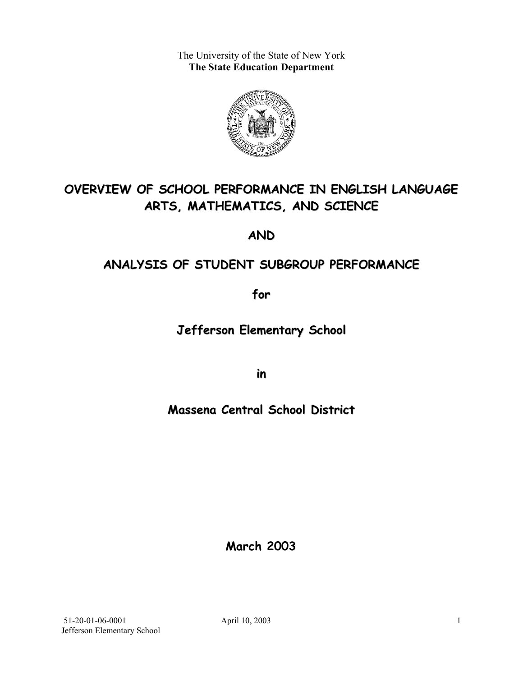The University of the State of New York **The State Education Department** 



# **OVERVIEW OF SCHOOL PERFORMANCE IN ENGLISH LANGUAGE ARTS, MATHEMATICS, AND SCIENCE**

**AND**

## **ANALYSIS OF STUDENT SUBGROUP PERFORMANCE**

**for**

**Jefferson Elementary School**

**in**

## **Massena Central School District**

**March 2003**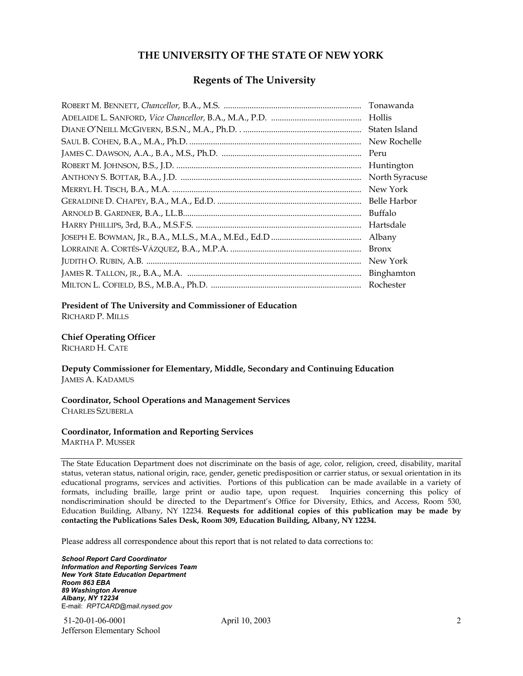#### **THE UNIVERSITY OF THE STATE OF NEW YORK**

#### **Regents of The University**

| Tonawanda      |
|----------------|
| Hollis         |
| Staten Island  |
| New Rochelle   |
| Peru           |
| Huntington     |
| North Syracuse |
| New York       |
| Belle Harbor   |
| Buffalo        |
| Hartsdale      |
| Albany         |
| <b>Bronx</b>   |
| New York       |
|                |
| Rochester      |

#### **President of The University and Commissioner of Education**

RICHARD P. MILLS

#### **Chief Operating Officer**

RICHARD H. CATE

**Deputy Commissioner for Elementary, Middle, Secondary and Continuing Education**  JAMES A. KADAMUS

#### **Coordinator, School Operations and Management Services**  CHARLES SZUBERLA

#### **Coordinator, Information and Reporting Services**

MARTHA P. MUSSER

The State Education Department does not discriminate on the basis of age, color, religion, creed, disability, marital status, veteran status, national origin, race, gender, genetic predisposition or carrier status, or sexual orientation in its educational programs, services and activities. Portions of this publication can be made available in a variety of formats, including braille, large print or audio tape, upon request. Inquiries concerning this policy of nondiscrimination should be directed to the Department's Office for Diversity, Ethics, and Access, Room 530, Education Building, Albany, NY 12234. **Requests for additional copies of this publication may be made by contacting the Publications Sales Desk, Room 309, Education Building, Albany, NY 12234.** 

Please address all correspondence about this report that is not related to data corrections to:

*School Report Card Coordinator Information and Reporting Services Team New York State Education Department Room 863 EBA 89 Washington Avenue Albany, NY 12234*  E-mail: *RPTCARD@mail.nysed.gov*

 51-20-01-06-0001 April 10, 2003 Jefferson Elementary School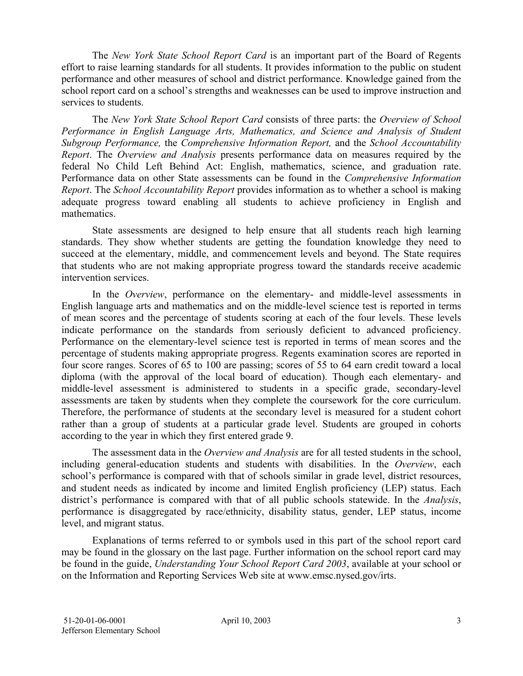The *New York State School Report Card* is an important part of the Board of Regents effort to raise learning standards for all students. It provides information to the public on student performance and other measures of school and district performance. Knowledge gained from the school report card on a school's strengths and weaknesses can be used to improve instruction and services to students.

The *New York State School Report Card* consists of three parts: the *Overview of School Performance in English Language Arts, Mathematics, and Science and Analysis of Student Subgroup Performance,* the *Comprehensive Information Report,* and the *School Accountability Report*. The *Overview and Analysis* presents performance data on measures required by the federal No Child Left Behind Act: English, mathematics, science, and graduation rate. Performance data on other State assessments can be found in the *Comprehensive Information Report*. The *School Accountability Report* provides information as to whether a school is making adequate progress toward enabling all students to achieve proficiency in English and mathematics.

State assessments are designed to help ensure that all students reach high learning standards. They show whether students are getting the foundation knowledge they need to succeed at the elementary, middle, and commencement levels and beyond. The State requires that students who are not making appropriate progress toward the standards receive academic intervention services.

In the *Overview*, performance on the elementary- and middle-level assessments in English language arts and mathematics and on the middle-level science test is reported in terms of mean scores and the percentage of students scoring at each of the four levels. These levels indicate performance on the standards from seriously deficient to advanced proficiency. Performance on the elementary-level science test is reported in terms of mean scores and the percentage of students making appropriate progress. Regents examination scores are reported in four score ranges. Scores of 65 to 100 are passing; scores of 55 to 64 earn credit toward a local diploma (with the approval of the local board of education). Though each elementary- and middle-level assessment is administered to students in a specific grade, secondary-level assessments are taken by students when they complete the coursework for the core curriculum. Therefore, the performance of students at the secondary level is measured for a student cohort rather than a group of students at a particular grade level. Students are grouped in cohorts according to the year in which they first entered grade 9.

The assessment data in the *Overview and Analysis* are for all tested students in the school, including general-education students and students with disabilities. In the *Overview*, each school's performance is compared with that of schools similar in grade level, district resources, and student needs as indicated by income and limited English proficiency (LEP) status. Each district's performance is compared with that of all public schools statewide. In the *Analysis*, performance is disaggregated by race/ethnicity, disability status, gender, LEP status, income level, and migrant status.

Explanations of terms referred to or symbols used in this part of the school report card may be found in the glossary on the last page. Further information on the school report card may be found in the guide, *Understanding Your School Report Card 2003*, available at your school or on the Information and Reporting Services Web site at www.emsc.nysed.gov/irts.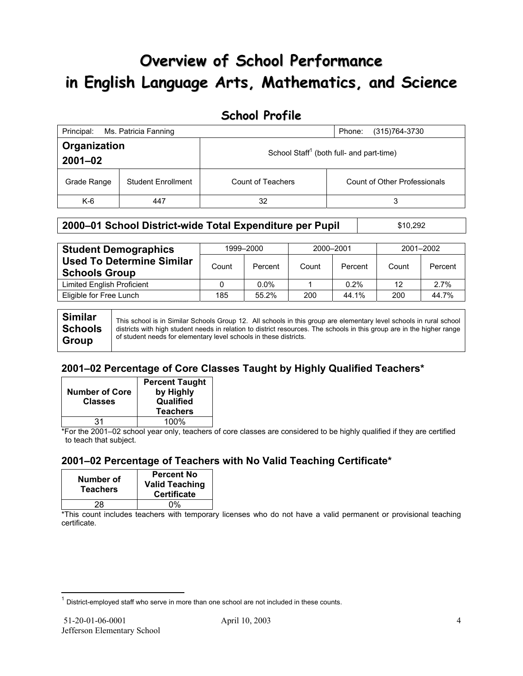# **Overview of School Performance in English Language Arts, Mathematics, and Science**

### **School Profile**

| Ms. Patricia Fanning<br>Principal:<br>(315) 764-3730<br>Phone: |                           |                                                      |                              |  |  |
|----------------------------------------------------------------|---------------------------|------------------------------------------------------|------------------------------|--|--|
| Organization<br>$2001 - 02$                                    |                           | School Staff <sup>1</sup> (both full- and part-time) |                              |  |  |
| Grade Range                                                    | <b>Student Enrollment</b> | Count of Teachers                                    | Count of Other Professionals |  |  |
| $K-6$                                                          | 447                       | 32                                                   | 3                            |  |  |

### **2000-01 School District-wide Total Expenditure per Pupil | \$10,292**

| <b>Student Demographics</b>                              | 1999-2000 |         | 2000-2001 |         | 2001-2002 |         |
|----------------------------------------------------------|-----------|---------|-----------|---------|-----------|---------|
| <b>Used To Determine Similar</b><br><b>Schools Group</b> | Count     | Percent | Count     | Percent | Count     | Percent |
| Limited English Proficient                               |           | $0.0\%$ |           | 0.2%    | 12        | 2.7%    |
| Eligible for Free Lunch                                  | 185       | 55.2%   | 200       | 44.1%   | 200       | 44.7%   |
|                                                          |           |         |           |         |           |         |

**Similar Schools Group**  This school is in Similar Schools Group 12. All schools in this group are elementary level schools in rural school districts with high student needs in relation to district resources. The schools in this group are in the higher range of student needs for elementary level schools in these districts.

### **2001–02 Percentage of Core Classes Taught by Highly Qualified Teachers\***

| <b>Number of Core</b><br><b>Classes</b> | <b>Percent Taught</b><br>by Highly<br>Qualified<br><b>Teachers</b> |
|-----------------------------------------|--------------------------------------------------------------------|
| 31                                      | 100%                                                               |

\*For the 2001–02 school year only, teachers of core classes are considered to be highly qualified if they are certified to teach that subject.

### **2001–02 Percentage of Teachers with No Valid Teaching Certificate\***

| Number of<br><b>Teachers</b> | <b>Percent No</b><br><b>Valid Teaching</b><br><b>Certificate</b> |
|------------------------------|------------------------------------------------------------------|
| 28                           | በ%                                                               |

\*This count includes teachers with temporary licenses who do not have a valid permanent or provisional teaching certificate.

 $\overline{a}$ 

 $1$  District-employed staff who serve in more than one school are not included in these counts.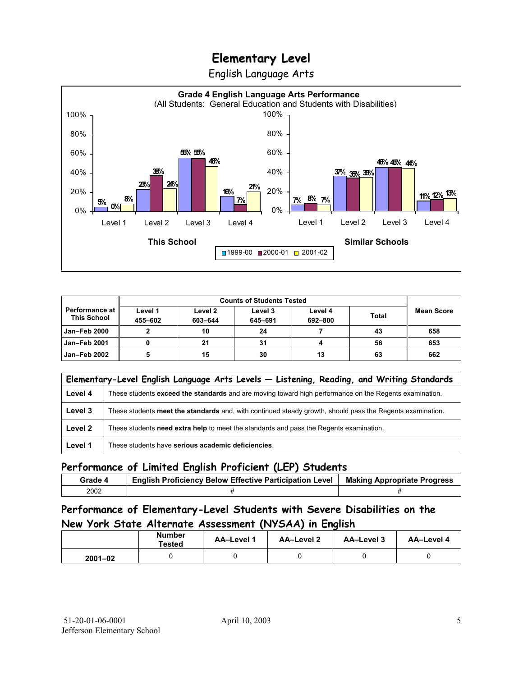English Language Arts



| <b>Counts of Students Tested</b>            |                    |                    |                    |                    |              |            |
|---------------------------------------------|--------------------|--------------------|--------------------|--------------------|--------------|------------|
| <b>Performance at</b><br><b>This School</b> | Level 1<br>455-602 | Level 2<br>603-644 | Level 3<br>645-691 | Level 4<br>692-800 | <b>Total</b> | Mean Score |
| <b>Jan-Feb 2000</b>                         |                    | 10                 | 24                 |                    | 43           | 658        |
| <b>Jan-Feb 2001</b>                         |                    | 21                 | 31                 |                    | 56           | 653        |
| Jan-Feb 2002                                |                    | 15                 | 30                 | 13                 | 63           | 662        |

|         | Elementary-Level English Language Arts Levels - Listening, Reading, and Writing Standards                 |  |  |  |  |  |
|---------|-----------------------------------------------------------------------------------------------------------|--|--|--|--|--|
| Level 4 | These students exceed the standards and are moving toward high performance on the Regents examination.    |  |  |  |  |  |
| Level 3 | These students meet the standards and, with continued steady growth, should pass the Regents examination. |  |  |  |  |  |
| Level 2 | These students need extra help to meet the standards and pass the Regents examination.                    |  |  |  |  |  |
| Level 1 | These students have serious academic deficiencies.                                                        |  |  |  |  |  |

#### **Performance of Limited English Proficient (LEP) Students**

| Grade 4 | <b>English Proficiency Below Effective Participation Level</b> | <b>Making Appropriate Progress</b> |
|---------|----------------------------------------------------------------|------------------------------------|
| 2002    |                                                                |                                    |

### **Performance of Elementary-Level Students with Severe Disabilities on the New York State Alternate Assessment (NYSAA) in English**

| <b>Number</b><br>Tested |  | <b>AA-Level 1</b> | AA-Level 2 | AA-Level 3 | AA-Level 4 |
|-------------------------|--|-------------------|------------|------------|------------|
| $2001 - 02$             |  |                   |            |            |            |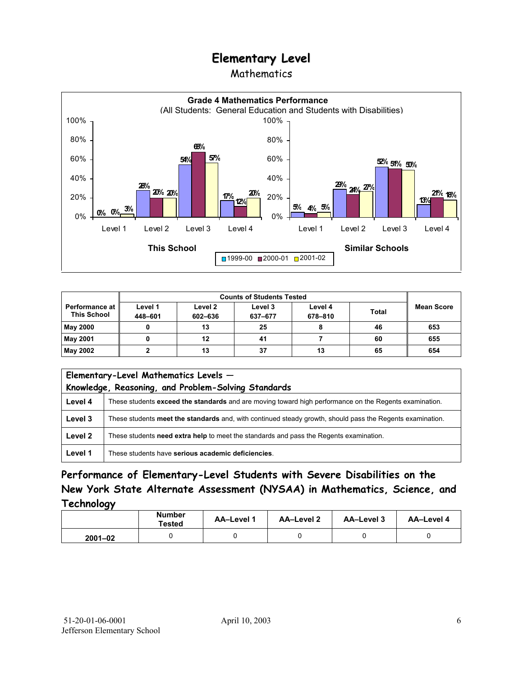### Mathematics



|                                      |                    |                    | <b>Counts of Students Tested</b> |                    |              |                   |
|--------------------------------------|--------------------|--------------------|----------------------------------|--------------------|--------------|-------------------|
| Performance at<br><b>This School</b> | Level 1<br>448-601 | Level 2<br>602-636 | Level 3<br>637-677               | Level 4<br>678-810 | <b>Total</b> | <b>Mean Score</b> |
| <b>May 2000</b>                      |                    | 13                 | 25                               |                    | 46           | 653               |
| May 2001                             |                    | 12                 | 41                               |                    | 60           | 655               |
| May 2002                             |                    | 13                 | 37                               | 13                 | 65           | 654               |

| Elementary-Level Mathematics Levels -<br>Knowledge, Reasoning, and Problem-Solving Standards |                                                                                                           |  |  |  |  |
|----------------------------------------------------------------------------------------------|-----------------------------------------------------------------------------------------------------------|--|--|--|--|
| Level 4                                                                                      | These students exceed the standards and are moving toward high performance on the Regents examination.    |  |  |  |  |
| Level 3                                                                                      | These students meet the standards and, with continued steady growth, should pass the Regents examination. |  |  |  |  |
| Level 2                                                                                      | These students need extra help to meet the standards and pass the Regents examination.                    |  |  |  |  |
| Level 1                                                                                      | These students have serious academic deficiencies.                                                        |  |  |  |  |

**Performance of Elementary-Level Students with Severe Disabilities on the New York State Alternate Assessment (NYSAA) in Mathematics, Science, and Technology** 

|             | <b>Number</b><br><b>Tested</b> | AA-Level 1 | <b>AA-Level 2</b> | AA-Level 3 | AA-Level 4 |
|-------------|--------------------------------|------------|-------------------|------------|------------|
| $2001 - 02$ |                                |            |                   |            |            |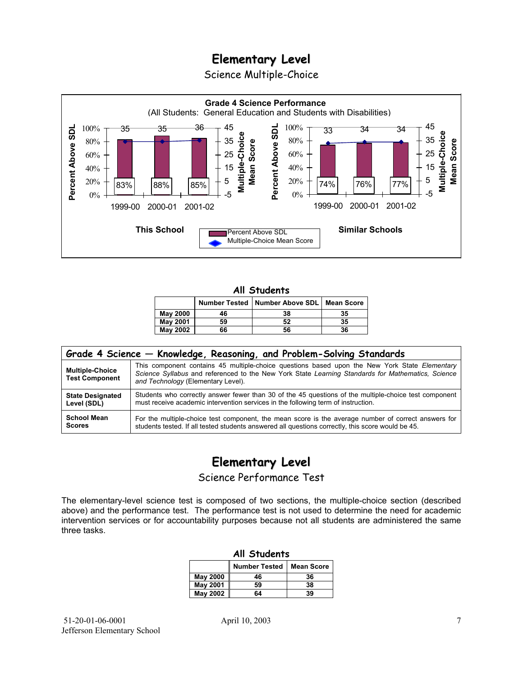Science Multiple-Choice



#### **All Students**

|                 |    | Number Tested   Number Above SDL   Mean Score |    |
|-----------------|----|-----------------------------------------------|----|
| <b>May 2000</b> | 46 | 38                                            | 35 |
| <b>May 2001</b> | 59 | 52                                            | 35 |
| May 2002        | 66 | 56                                            | 36 |

| Grade 4 Science - Knowledge, Reasoning, and Problem-Solving Standards |                                                                                                                                                                                                                                          |  |  |  |  |  |
|-----------------------------------------------------------------------|------------------------------------------------------------------------------------------------------------------------------------------------------------------------------------------------------------------------------------------|--|--|--|--|--|
| <b>Multiple-Choice</b><br><b>Test Component</b>                       | This component contains 45 multiple-choice questions based upon the New York State Elementary<br>Science Syllabus and referenced to the New York State Learning Standards for Mathematics, Science<br>and Technology (Elementary Level). |  |  |  |  |  |
| <b>State Designated</b>                                               | Students who correctly answer fewer than 30 of the 45 questions of the multiple-choice test component                                                                                                                                    |  |  |  |  |  |
| Level (SDL)                                                           | must receive academic intervention services in the following term of instruction.                                                                                                                                                        |  |  |  |  |  |
| <b>School Mean</b>                                                    | For the multiple-choice test component, the mean score is the average number of correct answers for                                                                                                                                      |  |  |  |  |  |
| <b>Scores</b>                                                         | students tested. If all tested students answered all questions correctly, this score would be 45.                                                                                                                                        |  |  |  |  |  |

## **Elementary Level**

Science Performance Test

The elementary-level science test is composed of two sections, the multiple-choice section (described above) and the performance test. The performance test is not used to determine the need for academic intervention services or for accountability purposes because not all students are administered the same three tasks.

| All Students    |                                           |    |  |  |  |  |  |
|-----------------|-------------------------------------------|----|--|--|--|--|--|
|                 | <b>Number Tested</b><br><b>Mean Score</b> |    |  |  |  |  |  |
| May 2000        | 46                                        | 36 |  |  |  |  |  |
| <b>May 2001</b> | 59                                        | 38 |  |  |  |  |  |
| <b>May 2002</b> | 64                                        | 39 |  |  |  |  |  |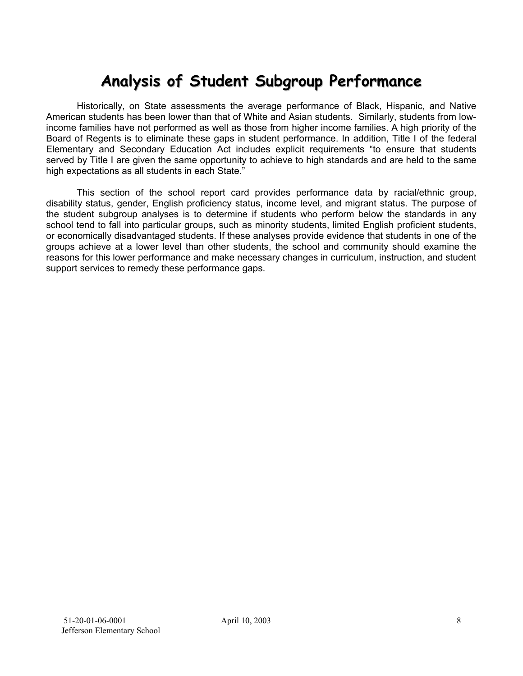# **Analysis of Student Subgroup Performance**

Historically, on State assessments the average performance of Black, Hispanic, and Native American students has been lower than that of White and Asian students. Similarly, students from lowincome families have not performed as well as those from higher income families. A high priority of the Board of Regents is to eliminate these gaps in student performance. In addition, Title I of the federal Elementary and Secondary Education Act includes explicit requirements "to ensure that students served by Title I are given the same opportunity to achieve to high standards and are held to the same high expectations as all students in each State."

This section of the school report card provides performance data by racial/ethnic group, disability status, gender, English proficiency status, income level, and migrant status. The purpose of the student subgroup analyses is to determine if students who perform below the standards in any school tend to fall into particular groups, such as minority students, limited English proficient students, or economically disadvantaged students. If these analyses provide evidence that students in one of the groups achieve at a lower level than other students, the school and community should examine the reasons for this lower performance and make necessary changes in curriculum, instruction, and student support services to remedy these performance gaps.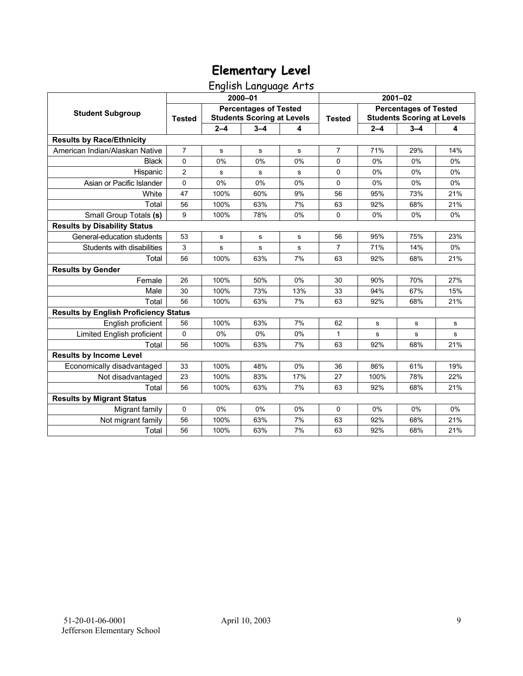## English Language Arts

|                                              | 2000-01        |                                                                   |           |             | $2001 - 02$    |                                                                   |             |             |
|----------------------------------------------|----------------|-------------------------------------------------------------------|-----------|-------------|----------------|-------------------------------------------------------------------|-------------|-------------|
| <b>Student Subgroup</b>                      | <b>Tested</b>  | <b>Percentages of Tested</b><br><b>Students Scoring at Levels</b> |           |             | <b>Tested</b>  | <b>Percentages of Tested</b><br><b>Students Scoring at Levels</b> |             |             |
|                                              |                | $2 - 4$                                                           | $3 - 4$   | 4           |                | $2 - 4$                                                           | $3 - 4$     | 4           |
| <b>Results by Race/Ethnicity</b>             |                |                                                                   |           |             |                |                                                                   |             |             |
| American Indian/Alaskan Native               | $\overline{7}$ | s                                                                 | ${\bf s}$ | $\mathbf s$ | $\overline{7}$ | 71%                                                               | 29%         | 14%         |
| <b>Black</b>                                 | $\Omega$       | 0%                                                                | 0%        | 0%          | $\Omega$       | 0%                                                                | 0%          | 0%          |
| Hispanic                                     | $\overline{2}$ | s                                                                 | s         | s           | $\Omega$       | 0%                                                                | 0%          | 0%          |
| Asian or Pacific Islander                    | $\mathbf 0$    | 0%                                                                | 0%        | 0%          | 0              | 0%                                                                | 0%          | 0%          |
| White                                        | 47             | 100%                                                              | 60%       | 9%          | 56             | 95%                                                               | 73%         | 21%         |
| Total                                        | 56             | 100%                                                              | 63%       | 7%          | 63             | 92%                                                               | 68%         | 21%         |
| Small Group Totals (s)                       | 9              | 100%                                                              | 78%       | 0%          | $\Omega$       | 0%                                                                | 0%          | 0%          |
| <b>Results by Disability Status</b>          |                |                                                                   |           |             |                |                                                                   |             |             |
| General-education students                   | 53             | s                                                                 | s         | s           | 56             | 95%                                                               | 75%         | 23%         |
| Students with disabilities                   | 3              | s                                                                 | s         | s           | $\overline{7}$ | 71%                                                               | 14%         | 0%          |
| Total                                        | 56             | 100%                                                              | 63%       | 7%          | 63             | 92%                                                               | 68%         | 21%         |
| <b>Results by Gender</b>                     |                |                                                                   |           |             |                |                                                                   |             |             |
| Female                                       | 26             | 100%                                                              | 50%       | 0%          | 30             | 90%                                                               | 70%         | 27%         |
| Male                                         | 30             | 100%                                                              | 73%       | 13%         | 33             | 94%                                                               | 67%         | 15%         |
| Total                                        | 56             | 100%                                                              | 63%       | 7%          | 63             | 92%                                                               | 68%         | 21%         |
| <b>Results by English Proficiency Status</b> |                |                                                                   |           |             |                |                                                                   |             |             |
| English proficient                           | 56             | 100%                                                              | 63%       | 7%          | 62             | s                                                                 | $\mathbf s$ | s           |
| Limited English proficient                   | 0              | 0%                                                                | 0%        | 0%          | 1              | s                                                                 | $\mathbf s$ | $\mathbf s$ |
| Total                                        | 56             | 100%                                                              | 63%       | 7%          | 63             | 92%                                                               | 68%         | 21%         |
| <b>Results by Income Level</b>               |                |                                                                   |           |             |                |                                                                   |             |             |
| Economically disadvantaged                   | 33             | 100%                                                              | 48%       | 0%          | 36             | 86%                                                               | 61%         | 19%         |
| Not disadvantaged                            | 23             | 100%                                                              | 83%       | 17%         | 27             | 100%                                                              | 78%         | 22%         |
| Total                                        | 56             | 100%                                                              | 63%       | 7%          | 63             | 92%                                                               | 68%         | 21%         |
| <b>Results by Migrant Status</b>             |                |                                                                   |           |             |                |                                                                   |             |             |
| Migrant family                               | 0              | 0%                                                                | 0%        | 0%          | 0              | 0%                                                                | 0%          | 0%          |
| Not migrant family                           | 56             | 100%                                                              | 63%       | 7%          | 63             | 92%                                                               | 68%         | 21%         |
| Total                                        | 56             | 100%                                                              | 63%       | 7%          | 63             | 92%                                                               | 68%         | 21%         |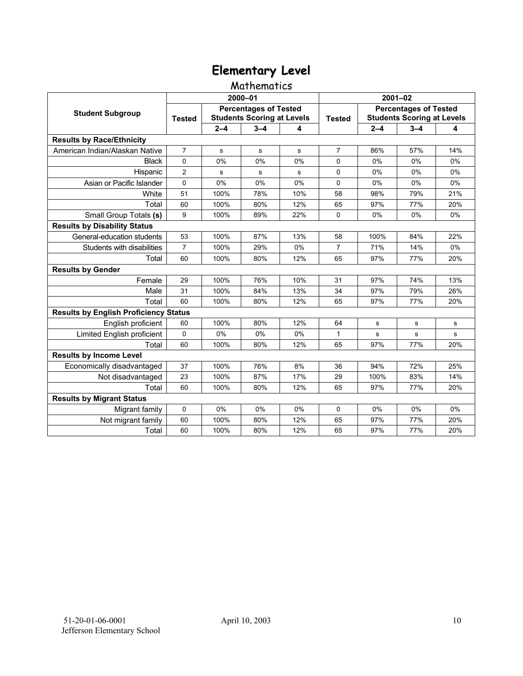#### Mathematics

|                                              | 2000-01        |                                                                   |         |       | $2001 - 02$    |                                                                   |             |     |
|----------------------------------------------|----------------|-------------------------------------------------------------------|---------|-------|----------------|-------------------------------------------------------------------|-------------|-----|
| <b>Student Subgroup</b>                      | <b>Tested</b>  | <b>Percentages of Tested</b><br><b>Students Scoring at Levels</b> |         |       | <b>Tested</b>  | <b>Percentages of Tested</b><br><b>Students Scoring at Levels</b> |             |     |
|                                              |                | $2 - 4$                                                           | $3 - 4$ | 4     |                | $2 - 4$                                                           | $3 - 4$     | 4   |
| <b>Results by Race/Ethnicity</b>             |                |                                                                   |         |       |                |                                                                   |             |     |
| American Indian/Alaskan Native               | $\overline{7}$ | s                                                                 | s       | s     | $\overline{7}$ | 86%                                                               | 57%         | 14% |
| <b>Black</b>                                 | $\Omega$       | 0%                                                                | 0%      | $0\%$ | $\Omega$       | 0%                                                                | $0\%$       | 0%  |
| Hispanic                                     | $\overline{2}$ | s                                                                 | s       | s     | $\Omega$       | 0%                                                                | 0%          | 0%  |
| Asian or Pacific Islander                    | 0              | 0%                                                                | 0%      | 0%    | 0              | 0%                                                                | $0\%$       | 0%  |
| White                                        | 51             | 100%                                                              | 78%     | 10%   | 58             | 98%                                                               | 79%         | 21% |
| Total                                        | 60             | 100%                                                              | 80%     | 12%   | 65             | 97%                                                               | 77%         | 20% |
| Small Group Totals (s)                       | 9              | 100%                                                              | 89%     | 22%   | 0              | 0%                                                                | 0%          | 0%  |
| <b>Results by Disability Status</b>          |                |                                                                   |         |       |                |                                                                   |             |     |
| General-education students                   | 53             | 100%                                                              | 87%     | 13%   | 58             | 100%                                                              | 84%         | 22% |
| Students with disabilities                   | $\overline{7}$ | 100%                                                              | 29%     | 0%    | $\overline{7}$ | 71%                                                               | 14%         | 0%  |
| Total                                        | 60             | 100%                                                              | 80%     | 12%   | 65             | 97%                                                               | 77%         | 20% |
| <b>Results by Gender</b>                     |                |                                                                   |         |       |                |                                                                   |             |     |
| Female                                       | 29             | 100%                                                              | 76%     | 10%   | 31             | 97%                                                               | 74%         | 13% |
| Male                                         | 31             | 100%                                                              | 84%     | 13%   | 34             | 97%                                                               | 79%         | 26% |
| Total                                        | 60             | 100%                                                              | 80%     | 12%   | 65             | 97%                                                               | 77%         | 20% |
| <b>Results by English Proficiency Status</b> |                |                                                                   |         |       |                |                                                                   |             |     |
| English proficient                           | 60             | 100%                                                              | 80%     | 12%   | 64             | s                                                                 | $\mathbf s$ | s   |
| Limited English proficient                   | 0              | 0%                                                                | 0%      | 0%    | 1              | s                                                                 | s           | s   |
| Total                                        | 60             | 100%                                                              | 80%     | 12%   | 65             | 97%                                                               | 77%         | 20% |
| <b>Results by Income Level</b>               |                |                                                                   |         |       |                |                                                                   |             |     |
| Economically disadvantaged                   | 37             | 100%                                                              | 76%     | 8%    | 36             | 94%                                                               | 72%         | 25% |
| Not disadvantaged                            | 23             | 100%                                                              | 87%     | 17%   | 29             | 100%                                                              | 83%         | 14% |
| Total                                        | 60             | 100%                                                              | 80%     | 12%   | 65             | 97%                                                               | 77%         | 20% |
| <b>Results by Migrant Status</b>             |                |                                                                   |         |       |                |                                                                   |             |     |
| Migrant family                               | 0              | 0%                                                                | 0%      | $0\%$ | $\Omega$       | $0\%$                                                             | $0\%$       | 0%  |
| Not migrant family                           | 60             | 100%                                                              | 80%     | 12%   | 65             | 97%                                                               | 77%         | 20% |
| Total                                        | 60             | 100%                                                              | 80%     | 12%   | 65             | 97%                                                               | 77%         | 20% |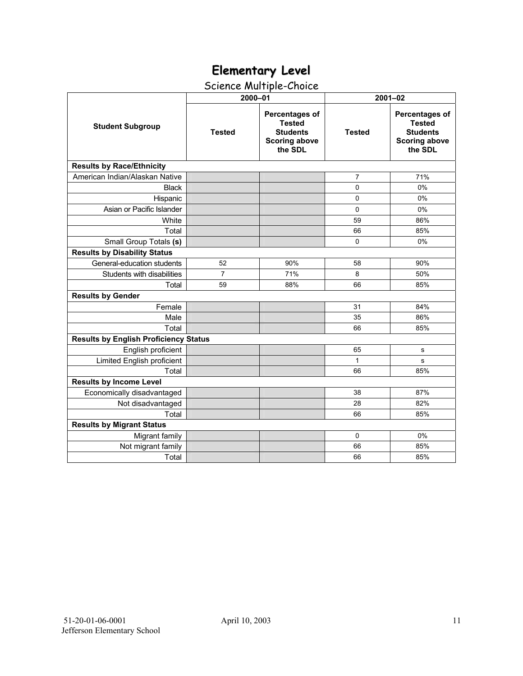## Science Multiple-Choice

|                                              | 2000-01        |                                                                                       | $2001 - 02$   |                                                                                              |  |  |  |  |
|----------------------------------------------|----------------|---------------------------------------------------------------------------------------|---------------|----------------------------------------------------------------------------------------------|--|--|--|--|
| <b>Student Subgroup</b>                      | <b>Tested</b>  | Percentages of<br><b>Tested</b><br><b>Students</b><br><b>Scoring above</b><br>the SDL | <b>Tested</b> | <b>Percentages of</b><br><b>Tested</b><br><b>Students</b><br><b>Scoring above</b><br>the SDL |  |  |  |  |
| <b>Results by Race/Ethnicity</b>             |                |                                                                                       |               |                                                                                              |  |  |  |  |
| American Indian/Alaskan Native               |                |                                                                                       | 7             | 71%                                                                                          |  |  |  |  |
| <b>Black</b>                                 |                |                                                                                       | $\Omega$      | 0%                                                                                           |  |  |  |  |
| Hispanic                                     |                |                                                                                       | 0             | 0%                                                                                           |  |  |  |  |
| Asian or Pacific Islander                    |                |                                                                                       | 0             | 0%                                                                                           |  |  |  |  |
| White                                        |                |                                                                                       | 59            | 86%                                                                                          |  |  |  |  |
| Total                                        |                |                                                                                       | 66            | 85%                                                                                          |  |  |  |  |
| Small Group Totals (s)                       |                |                                                                                       | 0             | 0%                                                                                           |  |  |  |  |
| <b>Results by Disability Status</b>          |                |                                                                                       |               |                                                                                              |  |  |  |  |
| General-education students                   | 52             | 90%                                                                                   | 58            | 90%                                                                                          |  |  |  |  |
| Students with disabilities                   | $\overline{7}$ | 71%                                                                                   | 8             | 50%                                                                                          |  |  |  |  |
| Total                                        | 59             | 88%                                                                                   | 66            | 85%                                                                                          |  |  |  |  |
| <b>Results by Gender</b>                     |                |                                                                                       |               |                                                                                              |  |  |  |  |
| Female                                       |                |                                                                                       | 31            | 84%                                                                                          |  |  |  |  |
| Male                                         |                |                                                                                       | 35            | 86%                                                                                          |  |  |  |  |
| Total                                        |                |                                                                                       | 66            | 85%                                                                                          |  |  |  |  |
| <b>Results by English Proficiency Status</b> |                |                                                                                       |               |                                                                                              |  |  |  |  |
| English proficient                           |                |                                                                                       | 65            | s                                                                                            |  |  |  |  |
| Limited English proficient                   |                |                                                                                       | $\mathbf{1}$  | s                                                                                            |  |  |  |  |
| Total                                        |                |                                                                                       | 66            | 85%                                                                                          |  |  |  |  |
| <b>Results by Income Level</b>               |                |                                                                                       |               |                                                                                              |  |  |  |  |
| Economically disadvantaged                   |                |                                                                                       | 38            | 87%                                                                                          |  |  |  |  |
| Not disadvantaged                            |                |                                                                                       | 28            | 82%                                                                                          |  |  |  |  |
| Total                                        |                |                                                                                       | 66            | 85%                                                                                          |  |  |  |  |
| <b>Results by Migrant Status</b>             |                |                                                                                       |               |                                                                                              |  |  |  |  |
| Migrant family                               |                |                                                                                       | $\mathbf 0$   | 0%                                                                                           |  |  |  |  |
| Not migrant family                           |                |                                                                                       | 66            | 85%                                                                                          |  |  |  |  |
| Total                                        |                |                                                                                       | 66            | 85%                                                                                          |  |  |  |  |